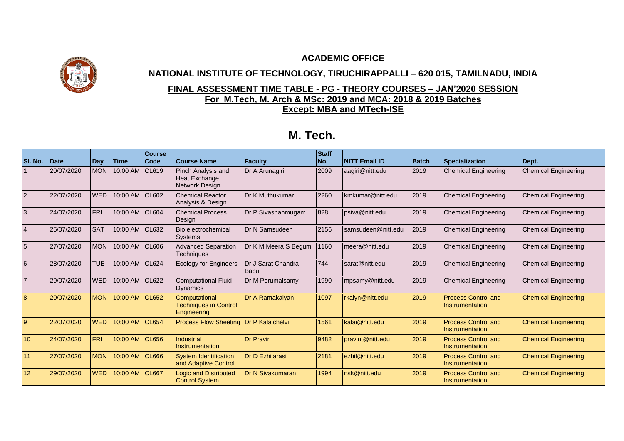## **ACADEMIC OFFICE**



## **NATIONAL INSTITUTE OF TECHNOLOGY, TIRUCHIRAPPALLI – 620 015, TAMILNADU, INDIA**

## **FINAL ASSESSMENT TIME TABLE - PG - THEORY COURSES – JAN'2020 SESSION For M.Tech, M. Arch & MSc: 2019 and MCA: 2018 & 2019 Batches Except: MBA and MTech-ISE**

## **M. Tech.**

| SI. No.        | <b>Date</b> | <b>Day</b> | <b>Time</b>    | <b>Course</b><br>Code | <b>Course Name</b>                                           | <b>Faculty</b>                    | <b>Staff</b><br>No. | <b>NITT Email ID</b> | <b>Batch</b> | <b>Specialization</b>                         | Dept.                       |
|----------------|-------------|------------|----------------|-----------------------|--------------------------------------------------------------|-----------------------------------|---------------------|----------------------|--------------|-----------------------------------------------|-----------------------------|
|                | 20/07/2020  | <b>MON</b> | 10:00 AM CL619 |                       | Pinch Analysis and<br><b>Heat Exchange</b><br>Network Design | Dr A Arunagiri                    | 2009                | aagiri@nitt.edu      | 2019         | <b>Chemical Engineering</b>                   | <b>Chemical Engineering</b> |
| $\overline{2}$ | 22/07/2020  | <b>WED</b> | 10:00 AM CL602 |                       | <b>Chemical Reactor</b><br>Analysis & Design                 | Dr K Muthukumar                   | 2260                | kmkumar@nitt.edu     | 2019         | <b>Chemical Engineering</b>                   | <b>Chemical Engineering</b> |
| 3              | 24/07/2020  | <b>FRI</b> | 10:00 AM CL604 |                       | <b>Chemical Process</b><br>Design                            | Dr P Sivashanmugam                | 828                 | psiva@nitt.edu       | 2019         | <b>Chemical Engineering</b>                   | <b>Chemical Engineering</b> |
|                | 25/07/2020  | <b>SAT</b> | 10:00 AM CL632 |                       | Bio electrochemical<br><b>Systems</b>                        | Dr N Samsudeen                    | 2156                | samsudeen@nitt.edu   | 2019         | <b>Chemical Engineering</b>                   | <b>Chemical Engineering</b> |
| 5              | 27/07/2020  | <b>MON</b> | 10:00 AM CL606 |                       | <b>Advanced Separation</b><br><b>Techniques</b>              | Dr K M Meera S Begum              | 1160                | meera@nitt.edu       | 2019         | <b>Chemical Engineering</b>                   | <b>Chemical Engineering</b> |
| 6              | 28/07/2020  | <b>TUE</b> | 10:00 AM CL624 |                       | <b>Ecology for Engineers</b>                                 | Dr J Sarat Chandra<br><b>Babu</b> | 744                 | sarat@nitt.edu       | 2019         | <b>Chemical Engineering</b>                   | <b>Chemical Engineering</b> |
|                | 29/07/2020  | <b>WED</b> | 10:00 AM CL622 |                       | <b>Computational Fluid</b><br><b>Dynamics</b>                | Dr M Perumalsamy                  | 1990                | mpsamy@nitt.edu      | 2019         | <b>Chemical Engineering</b>                   | <b>Chemical Engineering</b> |
| 8              | 20/07/2020  | <b>MON</b> | 10:00 AM CL652 |                       | Computational<br><b>Techniques in Control</b><br>Engineering | Dr A Ramakalyan                   | 1097                | rkalyn@nitt.edu      | 2019         | <b>Process Control and</b><br>Instrumentation | <b>Chemical Engineering</b> |
| $\overline{9}$ | 22/07/2020  | <b>WED</b> | 10:00 AM CL654 |                       | <b>Process Flow Sheeting</b>                                 | Dr P Kalaichelvi                  | 1561                | kalai@nitt.edu       | 2019         | <b>Process Control and</b><br>Instrumentation | <b>Chemical Engineering</b> |
| 10             | 24/07/2020  | <b>FRI</b> | 10:00 AM CL656 |                       | <b>Industrial</b><br>Instrumentation                         | <b>Dr Pravin</b>                  | 9482                | pravint@nitt.edu     | 2019         | <b>Process Control and</b><br>Instrumentation | <b>Chemical Engineering</b> |
| 11             | 27/07/2020  | <b>MON</b> | 10:00 AM CL666 |                       | <b>System Identification</b><br>and Adaptive Control         | Dr D Ezhilarasi                   | 2181                | ezhil@nitt.edu       | 2019         | <b>Process Control and</b><br>Instrumentation | <b>Chemical Engineering</b> |
| 12             | 29/07/2020  | <b>WED</b> | 10:00 AM CL667 |                       | <b>Logic and Distributed</b><br><b>Control System</b>        | Dr N Sivakumaran                  | 1994                | nsk@nitt.edu         | 2019         | <b>Process Control and</b><br>Instrumentation | <b>Chemical Engineering</b> |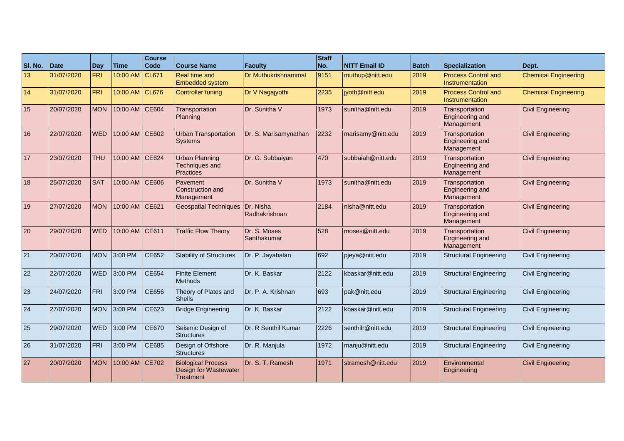| SI. No. | Date       | Day        | <b>Time</b>    | <b>Course</b><br>Code | <b>Course Name</b>                                              | <b>Faculty</b>              | <b>Staff</b><br>No. | <b>NITT Email ID</b> | <b>Batch</b> | <b>Specialization</b>                                         | Dept.                       |
|---------|------------|------------|----------------|-----------------------|-----------------------------------------------------------------|-----------------------------|---------------------|----------------------|--------------|---------------------------------------------------------------|-----------------------------|
| 13      | 31/07/2020 | <b>FRI</b> | 10:00 AM       | CL671                 | Real time and<br><b>Embedded system</b>                         | Dr Muthukrishnammal         | 9151                | muthup@nitt.edu      | 2019         | <b>Process Control and</b><br>Instrumentation                 | <b>Chemical Engineering</b> |
| 14      | 31/07/2020 | <b>FRI</b> | 10:00 AM CL676 |                       | <b>Controller tuning</b>                                        | Dr V Nagajyothi             | 2235                | jyoth@nitt.edu       | 2019         | <b>Process Control and</b><br>Instrumentation                 | <b>Chemical Engineering</b> |
| 15      | 20/07/2020 | <b>MON</b> | 10:00 AM CE604 |                       | Transportation<br>Planning                                      | Dr. Sunitha V               | 1973                | sunitha@nitt.edu     | 2019         | Transportation<br>Engineering and<br>Management               | <b>Civil Engineering</b>    |
| 16      | 22/07/2020 | <b>WED</b> | 10:00 AM CE602 |                       | <b>Urban Transportation</b><br><b>Systems</b>                   | Dr. S. Marisamynathan       | 2232                | marisamy@nitt.edu    | 2019         | Transportation<br>Engineering and<br>Management               | <b>Civil Engineering</b>    |
| 17      | 23/07/2020 | <b>THU</b> | 10:00 AM CE624 |                       | <b>Urban Planning</b><br><b>Techniques and</b><br>Practices     | Dr. G. Subbaiyan            | 470                 | subbaiah@nitt.edu    | 2019         | Transportation<br><b>Engineering and</b><br>Management        | <b>Civil Engineering</b>    |
| 18      | 25/07/2020 | <b>SAT</b> | 10:00 AM CE606 |                       | Pavement<br><b>Construction and</b><br>Management               | Dr. Sunitha V               | 1973                | sunitha@nitt.edu     | 2019         | Transportation<br><b>Engineering and</b><br>Management        | <b>Civil Engineering</b>    |
| 19      | 27/07/2020 | <b>MON</b> | 10:00 AM       | CE621                 | <b>Geospatial Techniques</b>                                    | Dr. Nisha<br>Radhakrishnan  | 2184                | nisha@nitt.edu       | 2019         | Transportation<br><b>Engineering and</b><br>Management        | <b>Civil Engineering</b>    |
| 20      | 29/07/2020 | <b>WED</b> | 10:00 AM CE611 |                       | <b>Traffic Flow Theory</b>                                      | Dr. S. Moses<br>Santhakumar | 528                 | moses@nitt.edu       | 2019         | <b>Transportation</b><br><b>Engineering and</b><br>Management | <b>Civil Engineering</b>    |
| 21      | 20/07/2020 | <b>MON</b> | 3:00 PM        | CE652                 | <b>Stability of Structures</b>                                  | Dr. P. Jayabalan            | 692                 | pjeya@nitt.edu       | 2019         | Structural Engineering                                        | <b>Civil Engineering</b>    |
| 22      | 22/07/2020 | <b>WED</b> | 3:00 PM        | CE654                 | <b>Finite Element</b><br><b>Methods</b>                         | Dr. K. Baskar               | 2122                | kbaskar@nitt.edu     | 2019         | <b>Structural Engineering</b>                                 | Civil Engineering           |
| 23      | 24/07/2020 | <b>FRI</b> | 3:00 PM        | <b>CE656</b>          | Theory of Plates and<br><b>Shells</b>                           | Dr. P. A. Krishnan          | 693                 | pak@nitt.edu         | 2019         | <b>Structural Engineering</b>                                 | <b>Civil Engineering</b>    |
| 24      | 27/07/2020 | <b>MON</b> | 3:00 PM        | CE623                 | <b>Bridge Engineering</b>                                       | Dr. K. Baskar               | 2122                | kbaskar@nitt.edu     | 2019         | <b>Structural Engineering</b>                                 | Civil Engineering           |
| 25      | 29/07/2020 | <b>WED</b> | 3:00 PM        | <b>CE670</b>          | Seismic Design of<br><b>Structures</b>                          | Dr. R Senthil Kumar         | 2226                | senthilr@nitt.edu    | 2019         | <b>Structural Engineering</b>                                 | Civil Engineering           |
| 26      | 31/07/2020 | <b>FRI</b> | 3:00 PM        | CE685                 | Design of Offshore<br><b>Structures</b>                         | Dr. R. Manjula              | 1972                | manju@nitt.edu       | 2019         | <b>Structural Engineering</b>                                 | <b>Civil Engineering</b>    |
| 27      | 20/07/2020 | <b>MON</b> | 10:00 AM CE702 |                       | <b>Biological Process</b><br>Design for Wastewater<br>Treatment | Dr. S. T. Ramesh            | 1971                | stramesh@nitt.edu    | 2019         | Environmental<br>Engineering                                  | <b>Civil Engineering</b>    |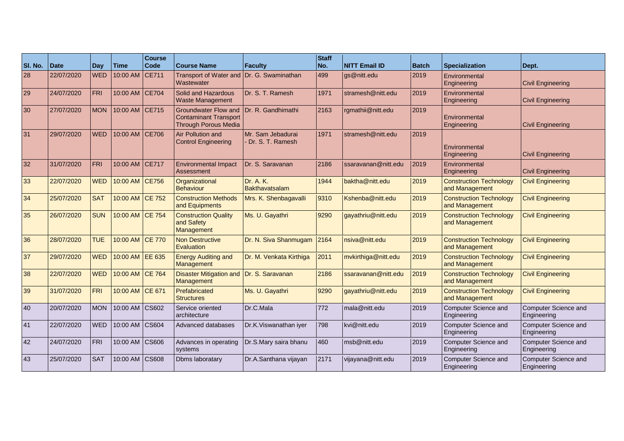| SI. No. | Date       | <b>Day</b> | <b>Time</b>     | <b>Course</b><br>Code | Course Name                                                                                | <b>Faculty</b>                        | <b>Staff</b><br>No. | <b>NITT Email ID</b> | <b>Batch</b> | <b>Specialization</b>                            | Dept.                               |
|---------|------------|------------|-----------------|-----------------------|--------------------------------------------------------------------------------------------|---------------------------------------|---------------------|----------------------|--------------|--------------------------------------------------|-------------------------------------|
| 28      | 22/07/2020 | <b>WED</b> | 10:00 AM CE711  |                       | <b>Transport of Water and</b><br>Wastewater                                                | Dr. G. Swaminathan                    | 499                 | gs@nitt.edu          | 2019         | Environmental<br>Engineering                     | <b>Civil Engineering</b>            |
| 29      | 24/07/2020 | <b>FRI</b> | 10:00 AM CE704  |                       | Solid and Hazardous<br><b>Waste Management</b>                                             | Dr. S. T. Ramesh                      | 1971                | stramesh@nitt.edu    | 2019         | Environmental<br>Engineering                     | <b>Civil Engineering</b>            |
| 30      | 27/07/2020 | <b>MON</b> | 10:00 AM CE715  |                       | <b>Groundwater Flow and</b><br><b>Contaminant Transport</b><br><b>Through Porous Media</b> | Dr. R. Gandhimathi                    | 2163                | rgmathii@nitt.edu    | 2019         | Environmental<br>Engineering                     | <b>Civil Engineering</b>            |
| 31      | 29/07/2020 | <b>WED</b> | 10:00 AM CE706  |                       | Air Pollution and<br>Control Engineering                                                   | Mr. Sam Jebadurai<br>Dr. S. T. Ramesh | 1971                | stramesh@nitt.edu    | 2019         | Environmental<br>Engineering                     | <b>Civil Engineering</b>            |
| 32      | 31/07/2020 | <b>FRI</b> | 10:00 AM CE717  |                       | <b>Environmental Impact</b><br>Assessment                                                  | Dr. S. Saravanan                      | 2186                | ssaravanan@nitt.edu  | 2019         | Environmental<br>Engineering                     | <b>Civil Engineering</b>            |
| 33      | 22/07/2020 | <b>WED</b> | 10:00 AM CE756  |                       | Organizational<br>Behaviour                                                                | Dr. A. K.<br><b>Bakthavatsalam</b>    | 1944                | baktha@nitt.edu      | 2019         | <b>Construction Technology</b><br>and Management | <b>Civil Engineering</b>            |
| 34      | 25/07/2020 | <b>SAT</b> | 10:00 AM CE 752 |                       | <b>Construction Methods</b><br>and Equipments                                              | Mrs. K. Shenbagavalli                 | 9310                | Kshenba@nitt.edu     | 2019         | <b>Construction Technology</b><br>and Management | <b>Civil Engineering</b>            |
| 35      | 26/07/2020 | <b>SUN</b> | 10:00 AM CE 754 |                       | <b>Construction Quality</b><br>and Safety<br>Management                                    | Ms. U. Gayathri                       | 9290                | gayathriu@nitt.edu   | 2019         | <b>Construction Technology</b><br>and Management | <b>Civil Engineering</b>            |
| 36      | 28/07/2020 | <b>TUE</b> | 10:00 AM CE 770 |                       | Non Destructive<br>Evaluation                                                              | Dr. N. Siva Shanmugam                 | 2164                | nsiva@nitt.edu       | 2019         | <b>Construction Technology</b><br>and Management | <b>Civil Engineering</b>            |
| 37      | 29/07/2020 | <b>WED</b> | 10:00 AM EE 635 |                       | <b>Energy Auditing and</b><br>Management                                                   | Dr. M. Venkata Kirthiga               | 2011                | mvkirthiga@nitt.edu  | 2019         | <b>Construction Technology</b><br>and Management | <b>Civil Engineering</b>            |
| 38      | 22/07/2020 | <b>WED</b> | 10:00 AM CE 764 |                       | <b>Disaster Mitigation and</b><br>Management                                               | Dr. S. Saravanan                      | 2186                | ssaravanan@nitt.edu  | 2019         | <b>Construction Technology</b><br>and Management | <b>Civil Engineering</b>            |
| 39      | 31/07/2020 | <b>FRI</b> | 10:00 AM CE 671 |                       | Prefabricated<br><b>Structures</b>                                                         | Ms. U. Gayathri                       | 9290                | gayathriu@nitt.edu   | 2019         | <b>Construction Technology</b><br>and Management | <b>Civil Engineering</b>            |
| 40      | 20/07/2020 | <b>MON</b> | 10:00 AM        | CS602                 | Service oriented<br>architecture                                                           | Dr.C.Mala                             | 772                 | mala@nitt.edu        | 2019         | <b>Computer Science and</b><br>Engineering       | Computer Science and<br>Engineering |
| 41      | 22/07/2020 | <b>WED</b> | 10:00 AM        | <b>CS604</b>          | Advanced databases                                                                         | Dr.K.Viswanathan iyer                 | 798                 | kvi@nitt.edu         | 2019         | <b>Computer Science and</b><br>Engineering       | Computer Science and<br>Engineering |
| 42      | 24/07/2020 | <b>FRI</b> | 10:00 AM        | <b>CS606</b>          | Advances in operating<br>systems                                                           | Dr.S.Mary saira bhanu                 | 460                 | msb@nitt.edu         | 2019         | Computer Science and<br>Engineering              | Computer Science and<br>Engineering |
| 43      | 25/07/2020 | <b>SAT</b> | 10:00 AM        | <b>CS608</b>          | Dbms laboratary                                                                            | Dr.A.Santhana vijayan                 | 2171                | vijayana@nitt.edu    | 2019         | <b>Computer Science and</b><br>Engineering       | Computer Science and<br>Engineering |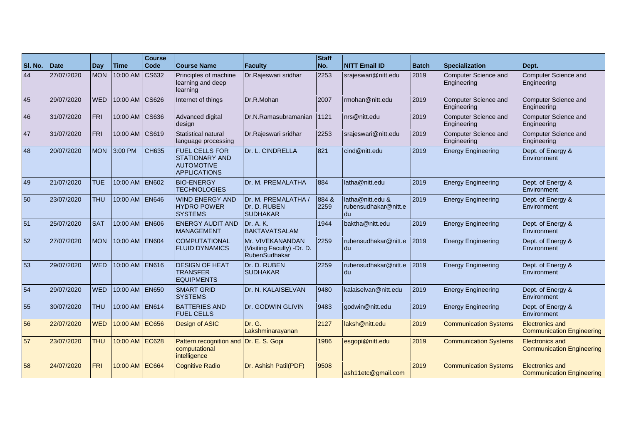| SI. No. | Date       | Day        | <b>Time</b>    | <b>Course</b><br><b>Code</b> | <b>Course Name</b>                                                                         | <b>Faculty</b>                                                  | <b>Staff</b><br>No. | <b>NITT Email ID</b>                           | <b>Batch</b> | <b>Specialization</b>               | Dept.                                                      |
|---------|------------|------------|----------------|------------------------------|--------------------------------------------------------------------------------------------|-----------------------------------------------------------------|---------------------|------------------------------------------------|--------------|-------------------------------------|------------------------------------------------------------|
| 44      | 27/07/2020 | <b>MON</b> | 10:00 AM       | $\big $ CS632                | Principles of machine<br>learning and deep<br>learning                                     | Dr.Rajeswari sridhar                                            | 2253                | srajeswari@nitt.edu                            | 2019         | Computer Science and<br>Engineering | Computer Science and<br>Engineering                        |
| 45      | 29/07/2020 | <b>WED</b> | 10:00 AM CS626 |                              | Internet of things                                                                         | Dr.R.Mohan                                                      | 2007                | rmohan@nitt.edu                                | 2019         | Computer Science and<br>Engineering | Computer Science and<br>Engineering                        |
| 46      | 31/07/2020 | FRI        | 10:00 AM CS636 |                              | Advanced digital<br>design                                                                 | Dr.N.Ramasubramanian                                            | 1121                | nrs@nitt.edu                                   | 2019         | Computer Science and<br>Engineering | Computer Science and<br>Engineering                        |
| 47      | 31/07/2020 | FRI        | 10:00 AM CS619 |                              | <b>Statistical natural</b><br>language processing                                          | Dr.Rajeswari sridhar                                            | 2253                | srajeswari@nitt.edu                            | 2019         | Computer Science and<br>Engineering | Computer Science and<br>Engineering                        |
| 48      | 20/07/2020 | <b>MON</b> | 3:00 PM        | <b>CH635</b>                 | <b>FUEL CELLS FOR</b><br><b>STATIONARY AND</b><br><b>AUTOMOTIVE</b><br><b>APPLICATIONS</b> | Dr. L. CINDRELLA                                                | 821                 | cind@nitt.edu                                  | 2019         | <b>Energy Engineering</b>           | Dept. of Energy &<br>Environment                           |
| 49      | 21/07/2020 | <b>TUE</b> | 10:00 AM EN602 |                              | <b>BIO-ENERGY</b><br><b>TECHNOLOGIES</b>                                                   | Dr. M. PREMALATHA                                               | 884                 | latha@nitt.edu                                 | 2019         | <b>Energy Engineering</b>           | Dept. of Energy &<br>Environment                           |
| 50      | 23/07/2020 | <b>THU</b> | 10:00 AM EN646 |                              | <b>WIND ENERGY AND</b><br><b>HYDRO POWER</b><br><b>SYSTEMS</b>                             | Dr. M. PREMALATHA /<br>Dr. D. RUBEN<br><b>SUDHAKAR</b>          | 884 &<br>2259       | latha@nitt.edu &<br>rubensudhakar@nitt.e<br>du | 2019         | <b>Energy Engineering</b>           | Dept. of Energy &<br>Environment                           |
| 51      | 25/07/2020 | <b>SAT</b> | 10:00 AM EN606 |                              | <b>ENERGY AUDIT AND</b><br><b>MANAGEMENT</b>                                               | Dr. A. K.<br><b>BAKTAVATSALAM</b>                               | 1944                | baktha@nitt.edu                                | 2019         | <b>Energy Engineering</b>           | Dept. of Energy &<br>Environment                           |
| 52      | 27/07/2020 | <b>MON</b> | 10:00 AM EN604 |                              | <b>COMPUTATIONAL</b><br><b>FLUID DYNAMICS</b>                                              | Mr. VIVEKANANDAN<br>(Visiting Faculty) -Dr. D.<br>RubenSudhakar | 2259                | rubensudhakar@nitt.e<br>l du                   | 2019         | <b>Energy Engineering</b>           | Dept. of Energy &<br>Environment                           |
| 53      | 29/07/2020 | <b>WED</b> | 10:00 AM EN616 |                              | <b>DESIGN OF HEAT</b><br><b>TRANSFER</b><br><b>EQUIPMENTS</b>                              | Dr. D. RUBEN<br><b>SUDHAKAR</b>                                 | 2259                | rubensudhakar@nitt.e<br>du                     | 2019         | <b>Energy Engineering</b>           | Dept. of Energy &<br>Environment                           |
| 54      | 29/07/2020 | <b>WED</b> | 10:00 AM EN650 |                              | <b>SMART GRID</b><br><b>SYSTEMS</b>                                                        | Dr. N. KALAISELVAN                                              | 9480                | kalaiselvan@nitt.edu                           | 2019         | <b>Energy Engineering</b>           | Dept. of Energy &<br>Environment                           |
| 55      | 30/07/2020 | <b>THU</b> | 10:00 AM EN614 |                              | <b>BATTERIES AND</b><br><b>FUEL CELLS</b>                                                  | Dr. GODWIN GLIVIN                                               | 9483                | godwin@nitt.edu                                | 2019         | <b>Energy Engineering</b>           | Dept. of Energy &<br>Environment                           |
| 56      | 22/07/2020 | <b>WED</b> | 10:00 AM EC656 |                              | Design of ASIC                                                                             | Dr. G.<br>Lakshminarayanan                                      | 2127                | laksh@nitt.edu                                 | 2019         | <b>Communication Systems</b>        | <b>Electronics and</b><br><b>Communication Engineering</b> |
| 57      | 23/07/2020 | <b>THU</b> | 10:00 AM EC628 |                              | Pattern recognition and<br>computational<br>intelligence                                   | Dr. E. S. Gopi                                                  | 1986                | esgopi@nitt.edu                                | 2019         | <b>Communication Systems</b>        | <b>Electronics and</b><br><b>Communication Engineering</b> |
| 58      | 24/07/2020 | <b>FRI</b> | 10:00 AM EC664 |                              | <b>Cognitive Radio</b>                                                                     | Dr. Ashish Patil(PDF)                                           | 9508                | ash11etc@gmail.com                             | 2019         | <b>Communication Systems</b>        | <b>Electronics and</b><br>Communication Engineering        |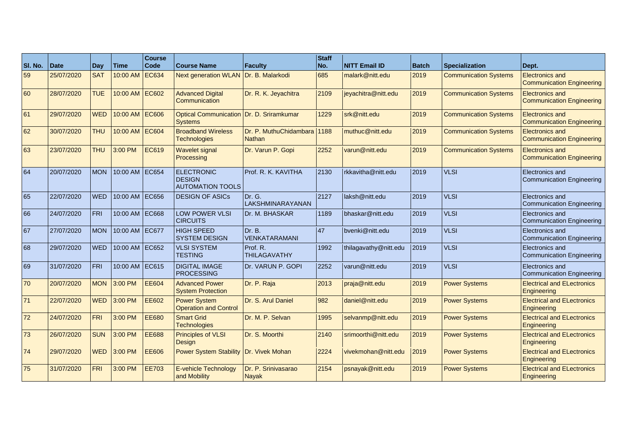| SI. No. | Date       | Day        | Time           | <b>Course</b><br>Code | <b>Course Name</b>                                            | <b>Faculty</b>                               | <b>Staff</b><br>No. | <b>NITT Email ID</b>  | <b>Batch</b> | <b>Specialization</b>        | Dept.                                                      |
|---------|------------|------------|----------------|-----------------------|---------------------------------------------------------------|----------------------------------------------|---------------------|-----------------------|--------------|------------------------------|------------------------------------------------------------|
| 59      | 25/07/2020 | <b>SAT</b> | 10:00 AM EC634 |                       | <b>Next generation WLAN</b>                                   | Dr. B. Malarkodi                             | 685                 | malark@nitt.edu       | 2019         | <b>Communication Systems</b> | <b>Electronics and</b><br><b>Communication Engineering</b> |
| 60      | 28/07/2020 | <b>TUE</b> | 10:00 AM EC602 |                       | <b>Advanced Digital</b><br>Communication                      | Dr. R. K. Jeyachitra                         | 2109                | jeyachitra@nitt.edu   | 2019         | <b>Communication Systems</b> | <b>Electronics and</b><br><b>Communication Engineering</b> |
| 61      | 29/07/2020 | <b>WED</b> | 10:00 AM EC606 |                       | Optical Communication Dr. D. Sriramkumar<br><b>Systems</b>    |                                              | 1229                | srk@nitt.edu          | 2019         | <b>Communication Systems</b> | <b>Electronics and</b><br><b>Communication Engineering</b> |
| 62      | 30/07/2020 | <b>THU</b> | 10:00 AM EC604 |                       | <b>Broadband Wireless</b><br><b>Technologies</b>              | Dr. P. MuthuChidambara 1188<br><b>Nathan</b> |                     | muthuc@nitt.edu       | 2019         | <b>Communication Systems</b> | <b>Electronics and</b><br><b>Communication Engineering</b> |
| 63      | 23/07/2020 | <b>THU</b> | 3:00 PM        | <b>EC619</b>          | <b>Wavelet signal</b><br>Processing                           | Dr. Varun P. Gopi                            | 2252                | varun@nitt.edu        | 2019         | <b>Communication Systems</b> | <b>Electronics and</b><br><b>Communication Engineering</b> |
| 64      | 20/07/2020 | <b>MON</b> | 10:00 AM EC654 |                       | <b>ELECTRONIC</b><br><b>DESIGN</b><br><b>AUTOMATION TOOLS</b> | Prof. R. K. KAVITHA                          | 2130                | rkkavitha@nitt.edu    | 2019         | <b>VLSI</b>                  | Electronics and<br>Communication Engineering               |
| 65      | 22/07/2020 | <b>WED</b> | 10:00 AM EC656 |                       | <b>DESIGN OF ASICs</b>                                        | Dr. G.<br>LAKSHMINARAYANAN                   | 2127                | laksh@nitt.edu        | 2019         | <b>VLSI</b>                  | Electronics and<br><b>Communication Engineering</b>        |
| 66      | 24/07/2020 | FRI        | 10:00 AM EC668 |                       | <b>LOW POWER VLSI</b><br><b>CIRCUITS</b>                      | Dr. M. BHASKAR                               | 1189                | bhaskar@nitt.edu      | 2019         | <b>VLSI</b>                  | Electronics and<br><b>Communication Engineering</b>        |
| 67      | 27/07/2020 | <b>MON</b> | 10:00 AM EC677 |                       | <b>HIGH SPEED</b><br><b>SYSTEM DESIGN</b>                     | Dr. B.<br>VENKATARAMANI                      | 47                  | bvenki@nitt.edu       | 2019         | <b>VLSI</b>                  | Electronics and<br><b>Communication Engineering</b>        |
| 68      | 29/07/2020 | <b>WED</b> | 10:00 AM EC652 |                       | <b>VLSI SYSTEM</b><br><b>TESTING</b>                          | Prof. R.<br><b>THILAGAVATHY</b>              | 1992                | thilagavathy@nitt.edu | 2019         | <b>VLSI</b>                  | Electronics and<br><b>Communication Engineering</b>        |
| 69      | 31/07/2020 | FRI        | 10:00 AM EC615 |                       | <b>DIGITAL IMAGE</b><br><b>PROCESSING</b>                     | Dr. VARUN P. GOPI                            | 2252                | varun@nitt.edu        | 2019         | <b>VLSI</b>                  | Electronics and<br><b>Communication Engineering</b>        |
| 70      | 20/07/2020 | <b>MON</b> | 3:00 PM        | <b>EE604</b>          | <b>Advanced Power</b><br><b>System Protection</b>             | Dr. P. Raja                                  | 2013                | praja@nitt.edu        | 2019         | <b>Power Systems</b>         | <b>Electrical and ELectronics</b><br>Engineering           |
| 71      | 22/07/2020 | <b>WED</b> | 3:00 PM        | <b>EE602</b>          | <b>Power System</b><br><b>Operation and Control</b>           | Dr. S. Arul Daniel                           | 982                 | daniel@nitt.edu       | 2019         | <b>Power Systems</b>         | <b>Electrical and ELectronics</b><br>Engineering           |
| 72      | 24/07/2020 | <b>FRI</b> | 3:00 PM        | <b>EE680</b>          | <b>Smart Grid</b><br><b>Technologies</b>                      | Dr. M. P. Selvan                             | 1995                | selvanmp@nitt.edu     | 2019         | <b>Power Systems</b>         | <b>Electrical and ELectronics</b><br>Engineering           |
| 73      | 26/07/2020 | <b>SUN</b> | 3:00 PM        | <b>EE688</b>          | <b>Principles of VLSI</b><br>Design                           | Dr. S. Moorthi                               | 2140                | srimoorthi@nitt.edu   | 2019         | <b>Power Systems</b>         | <b>Electrical and ELectronics</b><br>Engineering           |
| 74      | 29/07/2020 | <b>WED</b> | 3:00 PM        | <b>EE606</b>          | <b>Power System Stability</b>                                 | Dr. Vivek Mohan                              | 2224                | vivekmohan@nitt.edu   | 2019         | <b>Power Systems</b>         | <b>Electrical and ELectronics</b><br>Engineering           |
| 75      | 31/07/2020 | FRI        | 3:00 PM        | <b>EE703</b>          | E-vehicle Technology<br>and Mobility                          | Dr. P. Srinivasarao<br><b>Nayak</b>          | 2154                | psnayak@nitt.edu      | 2019         | <b>Power Systems</b>         | <b>Electrical and ELectronics</b><br>Engineering           |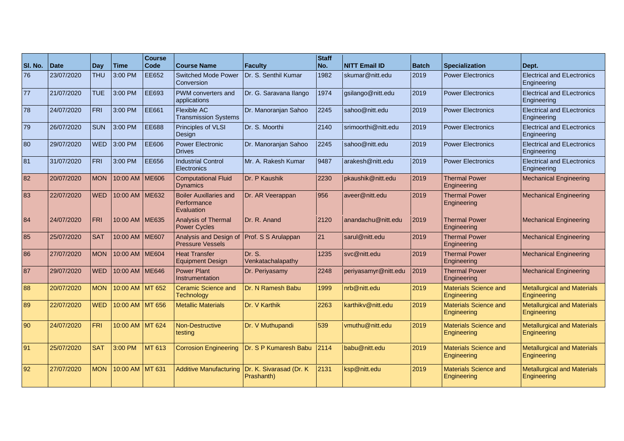| SI. No. | <b>Date</b> | Day        | Time            | <b>Course</b><br>Code | <b>Course Name</b>                                         | <b>Faculty</b>                         | <b>Staff</b><br>No. | <b>NITT Email ID</b> | <b>Batch</b> | <b>Specialization</b>                       | Dept.                                             |
|---------|-------------|------------|-----------------|-----------------------|------------------------------------------------------------|----------------------------------------|---------------------|----------------------|--------------|---------------------------------------------|---------------------------------------------------|
| 76      | 23/07/2020  | <b>THU</b> | 3:00 PM         | <b>EE652</b>          | <b>Switched Mode Power</b><br>Conversion                   | Dr. S. Senthil Kumar                   | 1982                | skumar@nitt.edu      | 2019         | <b>Power Electronics</b>                    | <b>Electrical and ELectronics</b><br>Engineering  |
| 77      | 21/07/2020  | <b>TUE</b> | 3:00 PM         | <b>EE693</b>          | PWM converters and<br>applications                         | Dr. G. Saravana Ilango                 | 1974                | gsilango@nitt.edu    | 2019         | <b>Power Electronics</b>                    | <b>Electrical and ELectronics</b><br>Engineering  |
| 78      | 24/07/2020  | FRI        | 3:00 PM         | EE661                 | Flexible AC<br><b>Transmission Systems</b>                 | Dr. Manoranjan Sahoo                   | 2245                | sahoo@nitt.edu       | 2019         | <b>Power Electronics</b>                    | <b>Electrical and ELectronics</b><br>Engineering  |
| 79      | 26/07/2020  | <b>SUN</b> | 3:00 PM         | EE688                 | Principles of VLSI<br>Design                               | Dr. S. Moorthi                         | 2140                | srimoorthi@nitt.edu  | 2019         | <b>Power Electronics</b>                    | <b>Electrical and ELectronics</b><br>Engineering  |
| 80      | 29/07/2020  | <b>WED</b> | 3:00 PM         | <b>EE606</b>          | <b>Power Electronic</b><br><b>Drives</b>                   | Dr. Manoranjan Sahoo                   | 2245                | sahoo@nitt.edu       | 2019         | <b>Power Electronics</b>                    | <b>Electrical and ELectronics</b><br>Engineering  |
| 81      | 31/07/2020  | <b>FRI</b> | 3:00 PM         | <b>EE656</b>          | <b>Industrial Control</b><br><b>Electronics</b>            | Mr. A. Rakesh Kumar                    | 9487                | arakesh@nitt.edu     | 2019         | <b>Power Electronics</b>                    | <b>Electrical and ELectronics</b><br>Engineering  |
| 82      | 20/07/2020  | <b>MON</b> | 10:00 AM ME606  |                       | <b>Computational Fluid</b><br><b>Dynamics</b>              | Dr. P Kaushik                          | 2230                | pkaushik@nitt.edu    | 2019         | <b>Thermal Power</b><br>Engineering         | <b>Mechanical Engineering</b>                     |
| 83      | 22/07/2020  | <b>WED</b> | 10:00 AM ME632  |                       | <b>Boiler Auxillaries and</b><br>Performance<br>Evaluation | Dr. AR Veerappan                       | 956                 | aveer@nitt.edu       | 2019         | <b>Thermal Power</b><br>Engineering         | <b>Mechanical Engineering</b>                     |
| 84      | 24/07/2020  | FRI        | 10:00 AM ME635  |                       | Analysis of Thermal<br><b>Power Cycles</b>                 | Dr. R. Anand                           | 2120                | anandachu@nitt.edu   | 2019         | <b>Thermal Power</b><br>Engineering         | <b>Mechanical Engineering</b>                     |
| 85      | 25/07/2020  | <b>SAT</b> | 10:00 AM ME607  |                       | Analysis and Design of<br><b>Pressure Vessels</b>          | Prof. S S Arulappan                    | 21                  | sarul@nitt.edu       | 2019         | <b>Thermal Power</b><br>Engineering         | <b>Mechanical Engineering</b>                     |
| 86      | 27/07/2020  | <b>MON</b> | 10:00 AM ME604  |                       | <b>Heat Transfer</b><br><b>Equipment Design</b>            | Dr. S.<br>Venkatachalapathy            | 1235                | svc@nitt.edu         | 2019         | <b>Thermal Power</b><br>Engineering         | <b>Mechanical Engineering</b>                     |
| 87      | 29/07/2020  | <b>WED</b> | 10:00 AM ME646  |                       | <b>Power Plant</b><br>Instrumentation                      | Dr. Periyasamy                         | 2248                | periyasamyr@nitt.edu | 2019         | <b>Thermal Power</b><br>Engineering         | <b>Mechanical Engineering</b>                     |
| 88      | 20/07/2020  | <b>MON</b> | 10:00 AM MT 652 |                       | <b>Ceramic Science and</b><br><b>Technology</b>            | Dr. N Ramesh Babu                      | 1999                | nrb@nitt.edu         | 2019         | <b>Materials Science and</b><br>Engineering | <b>Metallurgical and Materials</b><br>Engineering |
| 89      | 22/07/2020  | <b>WED</b> | 10:00 AM MT 656 |                       | <b>Metallic Materials</b>                                  | Dr. V Karthik                          | 2263                | karthikv@nitt.edu    | 2019         | <b>Materials Science and</b><br>Engineering | <b>Metallurgical and Materials</b><br>Engineering |
| 90      | 24/07/2020  | <b>FRI</b> | 10:00 AM MT 624 |                       | <b>Non-Destructive</b><br>testing                          | Dr. V Muthupandi                       | 539                 | vmuthu@nitt.edu      | 2019         | <b>Materials Science and</b><br>Engineering | <b>Metallurgical and Materials</b><br>Engineering |
| 91      | 25/07/2020  | <b>SAT</b> | 3:00 PM         | MT 613                | <b>Corrosion Engineering</b>                               | Dr. S P Kumaresh Babu                  | 2114                | babu@nitt.edu        | 2019         | <b>Materials Science and</b><br>Engineering | <b>Metallurgical and Materials</b><br>Engineering |
| 92      | 27/07/2020  | <b>MON</b> | 10:00 AM MT 631 |                       | <b>Additive Manufacturing</b>                              | Dr. K. Sivarasad (Dr. K)<br>Prashanth) | 2131                | ksp@nitt.edu         | 2019         | <b>Materials Science and</b><br>Engineering | <b>Metallurgical and Materials</b><br>Engineering |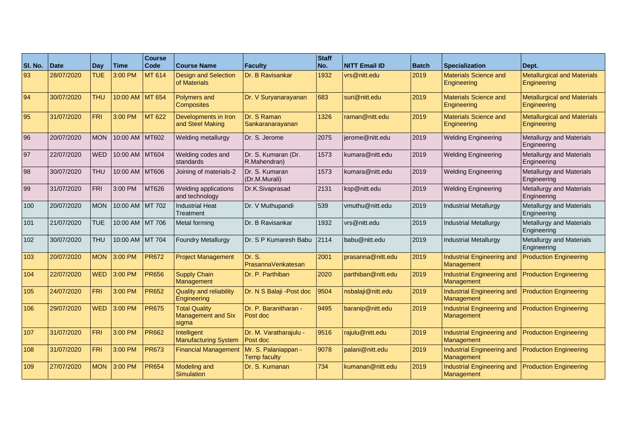| SI. No. | <b>Date</b> | Day        | l Time           | <b>Course</b><br><b>Code</b> | <b>Course Name</b>                                         | Faculty                                     | Staff<br>No. | <b>NITT Email ID</b> | <b>Batch</b> | <b>Specialization</b>                       | Dept.                                             |
|---------|-------------|------------|------------------|------------------------------|------------------------------------------------------------|---------------------------------------------|--------------|----------------------|--------------|---------------------------------------------|---------------------------------------------------|
| 93      | 28/07/2020  | <b>TUE</b> | 3:00 PM          | <b>MT 614</b>                | <b>Design and Selection</b><br>of Materials                | Dr. B Ravisankar                            | 1932         | vrs@nitt.edu         | 2019         | <b>Materials Science and</b><br>Engineering | <b>Metallurgical and Materials</b><br>Engineering |
| 94      | 30/07/2020  | <b>THU</b> | 10:00 AM MT 654  |                              | <b>Polymers and</b><br><b>Composites</b>                   | Dr. V Suryanarayanan                        | 683          | suri@nitt.edu        | 2019         | <b>Materials Science and</b><br>Engineering | <b>Metallurgical and Materials</b><br>Engineering |
| 95      | 31/07/2020  | <b>FRI</b> | 3:00 PM          | <b>MT 622</b>                | Developments in Iron<br>and Steel Making                   | Dr. S Raman<br>Sankaranarayanan             | 1326         | raman@nitt.edu       | 2019         | <b>Materials Science and</b><br>Engineering | <b>Metallurgical and Materials</b><br>Engineering |
| 96      | 20/07/2020  | <b>MON</b> | 10:00 AM MT602   |                              | Welding metallurgy                                         | Dr. S. Jerome                               | 2075         | jerome@nitt.edu      | 2019         | <b>Welding Engineering</b>                  | <b>Metallurgy and Materials</b><br>Engineering    |
| 97      | 22/07/2020  | <b>WED</b> | 10:00 AM MT604   |                              | Welding codes and<br>standards                             | Dr. S. Kumaran (Dr.<br>R.Mahendran)         | 1573         | kumara@nitt.edu      | 2019         | <b>Welding Engineering</b>                  | Metallurgy and Materials<br>Engineering           |
| 98      | 30/07/2020  | <b>THU</b> | 10:00 AM MT606   |                              | Joining of materials-2                                     | Dr. S. Kumaran<br>(Dr.M.Murali)             | 1573         | kumara@nitt.edu      | 2019         | <b>Welding Engineering</b>                  | Metallurgy and Materials<br>Engineering           |
| 99      | 31/07/2020  | <b>FRI</b> | 3:00 PM          | MT626                        | Welding applications<br>and technology                     | Dr.K.Sivaprasad                             | 2131         | ksp@nitt.edu         | 2019         | <b>Welding Engineering</b>                  | Metallurgy and Materials<br>Engineering           |
| 100     | 20/07/2020  | <b>MON</b> | 10:00 AM MT 702  |                              | <b>Industrial Heat</b><br>Treatment                        | Dr. V Muthupandi                            | 539          | vmuthu@nitt.edu      | 2019         | <b>Industrial Metallurgy</b>                | Metallurgy and Materials<br>Engineering           |
| 101     | 21/07/2020  | <b>TUE</b> | 10:00 AM IMT 706 |                              | Metal forming                                              | <b>IDr. B Ravisankar</b>                    | 1932         | vrs@nitt.edu         | 2019         | <b>Industrial Metallurgy</b>                | <b>Metallurgy and Materials</b><br>Engineering    |
| 102     | 30/07/2020  | <b>THU</b> | 10:00 AM MT 704  |                              | <b>Foundry Metallurgy</b>                                  | <b>IDr. S P Kumaresh Babu</b>               | 2114         | babu@nitt.edu        | 2019         | <b>Industrial Metallurgy</b>                | Metallurgy and Materials<br>Engineering           |
| 103     | 20/07/2020  | <b>MON</b> | 3:00 PM          | <b>PR672</b>                 | <b>Project Management</b>                                  | Dr. S.<br>PrasannaVenkatesan                | 2001         | prasanna@nitt.edu    | 2019         | Industrial Engineering and<br>Management    | <b>Production Engineering</b>                     |
| 104     | 22/07/2020  | <b>WED</b> | 3:00 PM          | <b>PR656</b>                 | <b>Supply Chain</b><br>Management                          | Dr. P. Parthiban                            | 2020         | parthiban@nitt.edu   | 2019         | Industrial Engineering and<br>Management    | <b>Production Engineering</b>                     |
| 105     | 24/07/2020  | <b>FRI</b> | 3:00 PM          | <b>PR652</b>                 | <b>Quality and reliability</b><br>Engineering              | Dr. N S Balaji - Post doc                   | 9504         | nsbalaji@nitt.edu    | 2019         | Industrial Engineering and<br>Management    | <b>Production Engineering</b>                     |
| 106     | 29/07/2020  | <b>WED</b> | 3:00 PM          | <b>PR675</b>                 | <b>Total Quality</b><br><b>Management and Six</b><br>sigma | Dr. P. Baranitharan -<br>Post doc           | 9495         | baranip@nitt.edu     | 2019         | Industrial Engineering and<br>Management    | <b>Production Engineering</b>                     |
| 107     | 31/07/2020  | <b>FRI</b> | 3:00 PM          | <b>PR662</b>                 | Intelligent<br><b>Manufacturing System</b>                 | Dr. M. Varatharajulu -<br>Post doc          | 9516         | rajulu@nitt.edu      | 2019         | Industrial Engineering and<br>Management    | <b>Production Engineering</b>                     |
| 108     | 31/07/2020  | <b>FRI</b> | 3:00 PM          | <b>PR673</b>                 | <b>Financial Management</b>                                | Mr. S. Palaniappan -<br><b>Temp faculty</b> | 9078         | palani@nitt.edu      | 2019         | Industrial Engineering and<br>Management    | <b>Production Engineering</b>                     |
| 109     | 27/07/2020  | <b>MON</b> | 3:00 PM          | <b>PR654</b>                 | <b>Modeling and</b><br>Simulation                          | Dr. S. Kumanan                              | 734          | kumanan@nitt.edu     | 2019         | Industrial Engineering and<br>Management    | <b>Production Engineering</b>                     |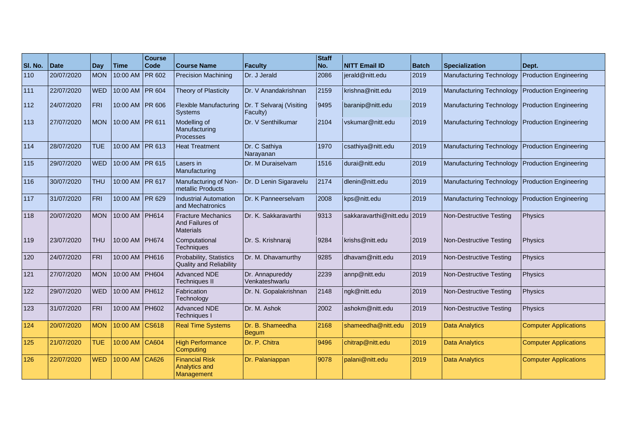| SI. No. | <b>Date</b> | Day        | <b>Time</b>       | <b>Course</b><br>Code | <b>Course Name</b>                                          | Faculty                              | Staff<br>No. | <b>NITT Email ID</b>        | <b>Batch</b> | <b>Specialization</b>           | Dept.                         |
|---------|-------------|------------|-------------------|-----------------------|-------------------------------------------------------------|--------------------------------------|--------------|-----------------------------|--------------|---------------------------------|-------------------------------|
| 110     | 20/07/2020  | <b>MON</b> | 10:00 AM          | <b>PR 602</b>         | <b>Precision Machining</b>                                  | Dr. J Jerald                         | 2086         | jerald@nitt.edu             | 2019         | <b>Manufacturing Technology</b> | <b>Production Engineering</b> |
| 111     | 22/07/2020  | <b>WED</b> | 10:00 AM          | <b>PR 604</b>         | Theory of Plasticity                                        | Dr. V Anandakrishnan                 | 2159         | krishna@nitt.edu            | 2019         | <b>Manufacturing Technology</b> | <b>Production Engineering</b> |
| 112     | 24/07/2020  | <b>FRI</b> | 10:00 AM   PR 606 |                       | <b>Flexible Manufacturing</b><br><b>Systems</b>             | Dr. T Selvaraj (Visiting<br>Faculty) | 9495         | baranip@nitt.edu            | 2019         | <b>Manufacturing Technology</b> | <b>Production Engineering</b> |
| 113     | 27/07/2020  | <b>MON</b> | 10:00 AM PR 611   |                       | Modelling of<br>Manufacturing<br><b>Processes</b>           | Dr. V Senthilkumar                   | 2104         | vskumar@nitt.edu            | 2019         | <b>Manufacturing Technology</b> | <b>Production Engineering</b> |
| 114     | 28/07/2020  | <b>TUE</b> | 10:00 AM   PR 613 |                       | <b>Heat Treatment</b>                                       | Dr. C Sathiya<br>Narayanan           | 1970         | csathiya@nitt.edu           | 2019         | <b>Manufacturing Technology</b> | <b>Production Engineering</b> |
| 115     | 29/07/2020  | <b>WED</b> | 10:00 AM   PR 615 |                       | Lasers in<br>Manufacturing                                  | Dr. M Duraiselvam                    | 1516         | durai@nitt.edu              | 2019         | <b>Manufacturing Technology</b> | <b>Production Engineering</b> |
| 116     | 30/07/2020  | <b>THU</b> | 10:00 AM PR 617   |                       | Manufacturing of Non-<br>metallic Products                  | Dr. D Lenin Sigaravelu               | 2174         | dlenin@nitt.edu             | 2019         | Manufacturing Technology        | <b>Production Engineering</b> |
| 117     | 31/07/2020  | <b>FRI</b> | 10:00 AM   PR 629 |                       | <b>Industrial Automation</b><br>and Mechatronics            | Dr. K Panneerselvam                  | 2008         | kps@nitt.edu                | 2019         | <b>Manufacturing Technology</b> | <b>Production Engineering</b> |
| 118     | 20/07/2020  | <b>MON</b> | 10:00 AM   PH614  |                       | <b>Fracture Mechanics</b><br>And Failures of<br>Materials   | Dr. K. Sakkaravarthi                 | 9313         | sakkaravarthi@nitt.edu 2019 |              | Non-Destructive Testing         | Physics                       |
| 119     | 23/07/2020  | <b>THU</b> | 10:00 AM PH674    |                       | Computational<br>Techniques                                 | Dr. S. Krishnaraj                    | 9284         | krishs@nitt.edu             | 2019         | Non-Destructive Testing         | Physics                       |
| 120     | 24/07/2020  | FRI        | 10:00 AM PH616    |                       | Probability, Statistics<br><b>Quality and Reliability</b>   | Dr. M. Dhavamurthy                   | 9285         | dhavam@nitt.edu             | 2019         | Non-Destructive Testing         | Physics                       |
| 121     | 27/07/2020  | <b>MON</b> | 10:00 AM   PH604  |                       | Advanced NDE<br><b>Techniques II</b>                        | Dr. Annapureddy<br>Venkateshwarlu    | 2239         | annp@nitt.edu               | 2019         | Non-Destructive Testing         | Physics                       |
| 122     | 29/07/2020  | <b>WED</b> | 10:00 AM   PH612  |                       | Fabrication<br>Technology                                   | Dr. N. Gopalakrishnan                | 2148         | ngk@nitt.edu                | 2019         | Non-Destructive Testing         | Physics                       |
| 123     | 31/07/2020  | <b>FRI</b> | 10:00 AM          | <b>PH602</b>          | Advanced NDE<br>Techniques I                                | Dr. M. Ashok                         | 2002         | ashokm@nitt.edu             | 2019         | Non-Destructive Testing         | <b>Physics</b>                |
| 124     | 20/07/2020  | <b>MON</b> | 10:00 AM CS618    |                       | <b>Real Time Systems</b>                                    | Dr. B. Shameedha<br><b>Begum</b>     | 2168         | shameedha@nitt.edu          | 2019         | <b>Data Analytics</b>           | <b>Computer Applications</b>  |
| 125     | 21/07/2020  | <b>TUE</b> | 10:00 AM CA604    |                       | <b>High Performance</b><br>Computing                        | Dr. P. Chitra                        | 9496         | chitrap@nitt.edu            | 2019         | <b>Data Analytics</b>           | <b>Computer Applications</b>  |
| 126     | 22/07/2020  | <b>WED</b> | 10:00 AM CA626    |                       | <b>Financial Risk</b><br><b>Analytics and</b><br>Management | Dr. Palaniappan                      | 9078         | palani@nitt.edu             | 2019         | <b>Data Analytics</b>           | <b>Computer Applications</b>  |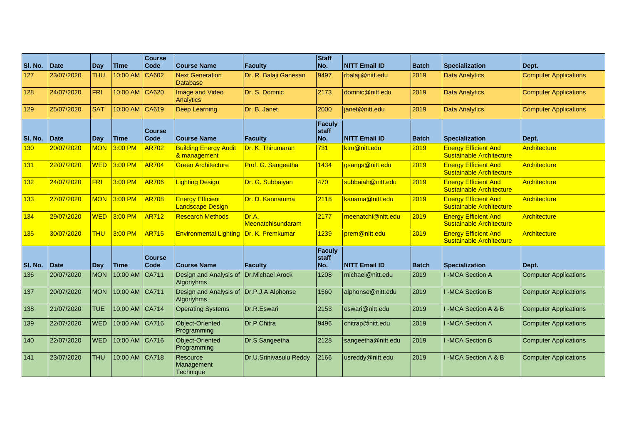| SI. No. | <b>Date</b> | Day        | Time           | <b>Course</b><br><b>Code</b> | <b>Course Name</b>                                 | Faculty                    | <b>Staff</b><br>No.           | <b>NITT Email ID</b> | <b>Batch</b> | <b>Specialization</b>                                          | Dept.                        |
|---------|-------------|------------|----------------|------------------------------|----------------------------------------------------|----------------------------|-------------------------------|----------------------|--------------|----------------------------------------------------------------|------------------------------|
| 127     | 23/07/2020  | <b>THU</b> | 10:00 AM CA602 |                              | <b>Next Generation</b><br><b>Database</b>          | Dr. R. Balaji Ganesan      | 9497                          | rbalaji@nitt.edu     | 2019         | <b>Data Analytics</b>                                          | <b>Computer Applications</b> |
| 128     | 24/07/2020  | FRI        | 10:00 AM CA620 |                              | Image and Video<br><b>Analytics</b>                | Dr. S. Domnic              | 2173                          | domnic@nitt.edu      | 2019         | <b>Data Analytics</b>                                          | <b>Computer Applications</b> |
| 129     | 25/07/2020  | <b>SAT</b> | 10:00 AM CA619 |                              | Deep Learning                                      | Dr. B. Janet               | 2000                          | ianet@nitt.edu       | 2019         | <b>Data Analytics</b>                                          | <b>Computer Applications</b> |
| SI. No. | <b>Date</b> | Day        | Time           | <b>Course</b><br><b>Code</b> | <b>Course Name</b>                                 | Faculty                    | <b>Faculy</b><br>staff<br>No. | <b>NITT Email ID</b> | <b>Batch</b> | <b>Specialization</b>                                          | Dept.                        |
| 130     | 20/07/2020  | MON        | 3:00 PM        | <b>AR702</b>                 | <b>Building Energy Audit</b><br>& management       | Dr. K. Thirumaran          | 731                           | ktm@nitt.edu         | 2019         | <b>Energy Efficient And</b><br><b>Sustainable Architecture</b> | Architecture                 |
| 131     | 22/07/2020  | <b>WED</b> | 3:00 PM        | <b>AR704</b>                 | <b>Green Architecture</b>                          | Prof. G. Sangeetha         | 1434                          | gsangs@nitt.edu      | 2019         | <b>Energy Efficient And</b><br><b>Sustainable Architecture</b> | Architecture                 |
| 132     | 24/07/2020  | FRI        | 3:00 PM        | <b>AR706</b>                 | <b>Lighting Design</b>                             | Dr. G. Subbaiyan           | 470                           | subbaiah@nitt.edu    | 2019         | <b>Energy Efficient And</b><br>Sustainable Architecture        | Architecture                 |
| 133     | 27/07/2020  | <b>MON</b> | 3:00 PM        | <b>AR708</b>                 | <b>Energy Efficient</b><br><b>Landscape Design</b> | Dr. D. Kannamma            | 2118                          | kanama@nitt.edu      | 2019         | <b>Energy Efficient And</b><br>Sustainable Architecture        | Architecture                 |
| 134     | 29/07/2020  | <b>WED</b> | 3:00 PM        | <b>AR712</b>                 | <b>Research Methods</b>                            | Dr.A.<br>Meenatchisundaram | 2177                          | meenatchi@nitt.edu   | 2019         | <b>Energy Efficient And</b><br><b>Sustainable Architecture</b> | Architecture                 |
| 135     | 30/07/2020  | <b>THU</b> | 3:00 PM        | <b>AR715</b>                 | <b>Environmental Lighting</b>                      | Dr. K. Premkumar           | 1239                          | prem@nitt.edu        | 2019         | <b>Energy Efficient And</b><br>Sustainable Architecture        | Architecture                 |
| SI. No. | <b>Date</b> | Day        | <b>Time</b>    | <b>Course</b><br><b>Code</b> | <b>Course Name</b>                                 | <b>Faculty</b>             | Faculy<br>staff<br>No.        | <b>NITT Email ID</b> | <b>Batch</b> | <b>Specialization</b>                                          | Dept.                        |
| 136     | 20/07/2020  | <b>MON</b> | 10:00 AM       | <b>CA711</b>                 | Design and Analysis of<br>Algoriyhms               | Dr.Michael Arock           | 1208                          | michael@nitt.edu     | 2019         | I-MCA Section A                                                | <b>Computer Applications</b> |
| 137     | 20/07/2020  | <b>MON</b> | 10:00 AM CA711 |                              | Design and Analysis of<br><b>Algoriyhms</b>        | Dr.P.J.A Alphonse          | 1560                          | alphonse@nitt.edu    | 2019         | I-MCA Section B                                                | <b>Computer Applications</b> |
| 138     | 21/07/2020  | <b>TUE</b> | 10:00 AM CA714 |                              | <b>Operating Systems</b>                           | Dr.R.Eswari                | 2153                          | eswari@nitt.edu      | 2019         | I-MCA Section A & B                                            | <b>Computer Applications</b> |
| 139     | 22/07/2020  | <b>WED</b> | 10:00 AM CA716 |                              | <b>Object-Oriented</b><br>Programming              | Dr.P.Chitra                | 9496                          | chitrap@nitt.edu     | 2019         | <b>I-MCA Section A</b>                                         | <b>Computer Applications</b> |
| 140     | 22/07/2020  | <b>WED</b> | 10:00 AM CA716 |                              | <b>Object-Oriented</b><br>Programming              | Dr.S.Sangeetha             | 2128                          | sangeetha@nitt.edu   | 2019         | <b>I-MCA Section B</b>                                         | <b>Computer Applications</b> |
| 141     | 23/07/2020  | <b>THU</b> | 10:00 AM CA718 |                              | Resource<br>Management<br>Technique                | Dr.U.Srinivasulu Reddy     | 2166                          | usreddy@nitt.edu     | 2019         | I-MCA Section A & B                                            | <b>Computer Applications</b> |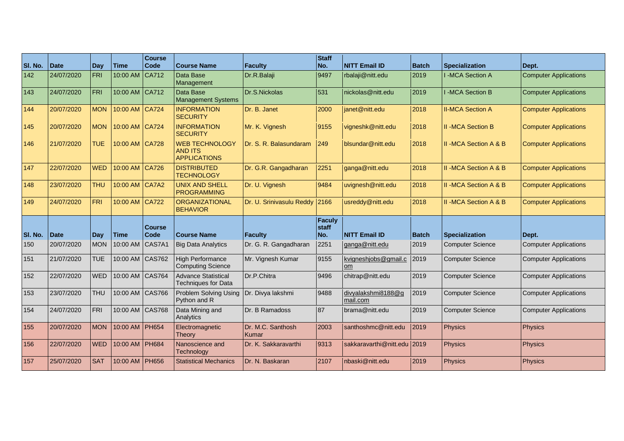| SI. No. | <b>Date</b> | Day        | <b>Time</b>      | <b>Course</b><br><b>Code</b> | <b>Course Name</b>                                             | <b>Faculty</b>                | Staff<br>No.                  | <b>NITT Email ID</b>              | <b>Batch</b> | <b>Specialization</b>           | Dept.                        |
|---------|-------------|------------|------------------|------------------------------|----------------------------------------------------------------|-------------------------------|-------------------------------|-----------------------------------|--------------|---------------------------------|------------------------------|
| 142     | 24/07/2020  | FRI        | 10:00 AM         | CA712                        | Data Base<br>Management                                        | Dr.R.Balaji                   | 9497                          | rbalaji@nitt.edu                  | 2019         | I-MCA Section A                 | <b>Computer Applications</b> |
| 143     | 24/07/2020  | FRI        | 10:00 AM CA712   |                              | Data Base<br><b>Management Systems</b>                         | Dr.S.Nickolas                 | 531                           | nickolas@nitt.edu                 | 2019         | <b>I-MCA Section B</b>          | <b>Computer Applications</b> |
| 144     | 20/07/2020  | <b>MON</b> | 10:00 AM CA724   |                              | <b>INFORMATION</b><br><b>SECURITY</b>                          | Dr. B. Janet                  | 2000                          | ianet@nitt.edu                    | 2018         | <b>II-MCA Section A</b>         | <b>Computer Applications</b> |
| 145     | 20/07/2020  | <b>MON</b> | 10:00 AM CA724   |                              | <b>INFORMATION</b><br><b>SECURITY</b>                          | Mr. K. Vignesh                | 9155                          | vigneshk@nitt.edu                 | 2018         | <b>II-MCA Section B</b>         | <b>Computer Applications</b> |
| 146     | 21/07/2020  | <b>TUE</b> | 10:00 AM CA728   |                              | <b>WEB TECHNOLOGY</b><br><b>AND ITS</b><br><b>APPLICATIONS</b> | Dr. S. R. Balasundaram        | 249                           | blsundar@nitt.edu                 | 2018         | <b>II-MCA Section A &amp; B</b> | <b>Computer Applications</b> |
| 147     | 22/07/2020  | <b>WED</b> | 10:00 AM CA726   |                              | <b>DISTRIBUTED</b><br><b>TECHNOLOGY</b>                        | Dr. G.R. Gangadharan          | 2251                          | ganga@nitt.edu                    | 2018         | <b>II-MCA Section A &amp; B</b> | <b>Computer Applications</b> |
| 148     | 23/07/2020  | <b>THU</b> | 10:00 AM CA7A2   |                              | <b>UNIX AND SHELL</b><br><b>PROGRAMMING</b>                    | Dr. U. Vignesh                | 9484                          | uvignesh@nitt.edu                 | 2018         | II - MCA Section A & B          | <b>Computer Applications</b> |
| 149     | 24/07/2020  | <b>FRI</b> | 10:00 AM CA722   |                              | <b>ORGANIZATIONAL</b><br><b>BEHAVIOR</b>                       | Dr. U. Srinivasulu Reddy 2166 |                               | usreddy@nitt.edu                  | 2018         | II-MCA Section A & B            | <b>Computer Applications</b> |
| SI. No. | <b>Date</b> | Day        | <b>Time</b>      | <b>Course</b><br><b>Code</b> | <b>Course Name</b>                                             | <b>Faculty</b>                | <b>Faculy</b><br>staff<br>No. | <b>NITT Email ID</b>              | <b>Batch</b> | <b>Specialization</b>           | Dept.                        |
| 150     | 20/07/2020  | <b>MON</b> | 10:00 AM         | CAS7A1                       | <b>Big Data Analytics</b>                                      | Dr. G. R. Gangadharan         | 2251                          | ganga@nitt.edu                    | 2019         | <b>Computer Science</b>         | <b>Computer Applications</b> |
| 151     | 21/07/2020  | <b>TUE</b> | 10:00 AM CAS762  |                              | <b>High Performance</b><br>Computing Science                   | Mr. Vignesh Kumar             | 9155                          | kvigneshjobs@gmail.c<br><b>om</b> | 2019         | <b>Computer Science</b>         | <b>Computer Applications</b> |
| 152     | 22/07/2020  | <b>WED</b> | 10:00 AM CAS764  |                              | <b>Advance Statistical</b><br><b>Techniques for Data</b>       | Dr.P.Chitra                   | 9496                          | chitrap@nitt.edu                  | 2019         | <b>Computer Science</b>         | <b>Computer Applications</b> |
| 153     | 23/07/2020  | <b>THU</b> | 10:00 AM CAS766  |                              | Problem Solving Using<br>Python and R                          | Dr. Divya lakshmi             | 9488                          | divyalakshmi8188@q<br>mail.com    | 2019         | <b>Computer Science</b>         | <b>Computer Applications</b> |
| 154     | 24/07/2020  | <b>FRI</b> | 10:00 AM CAS768  |                              | Data Mining and<br>Analytics                                   | Dr. B Ramadoss                | 87                            | brama@nitt.edu                    | 2019         | <b>Computer Science</b>         | <b>Computer Applications</b> |
| 155     | 20/07/2020  | <b>MON</b> | 10:00 AM PH654   |                              | Electromagnetic<br>Theory                                      | Dr. M.C. Santhosh<br>Kumar    | 2003                          | santhoshmc@nitt.edu               | 2019         | <b>Physics</b>                  | <b>Physics</b>               |
| 156     | 22/07/2020  | <b>WED</b> | 10:00 AM   PH684 |                              | Nanoscience and<br>Technology                                  | Dr. K. Sakkaravarthi          | 9313                          | sakkaravarthi@nitt.edu 2019       |              | <b>Physics</b>                  | Physics                      |
| 157     | 25/07/2020  | <b>SAT</b> | 10:00 AM   PH656 |                              | <b>Statistical Mechanics</b>                                   | Dr. N. Baskaran               | 2107                          | nbaski@nitt.edu                   | 2019         | Physics                         | <b>Physics</b>               |